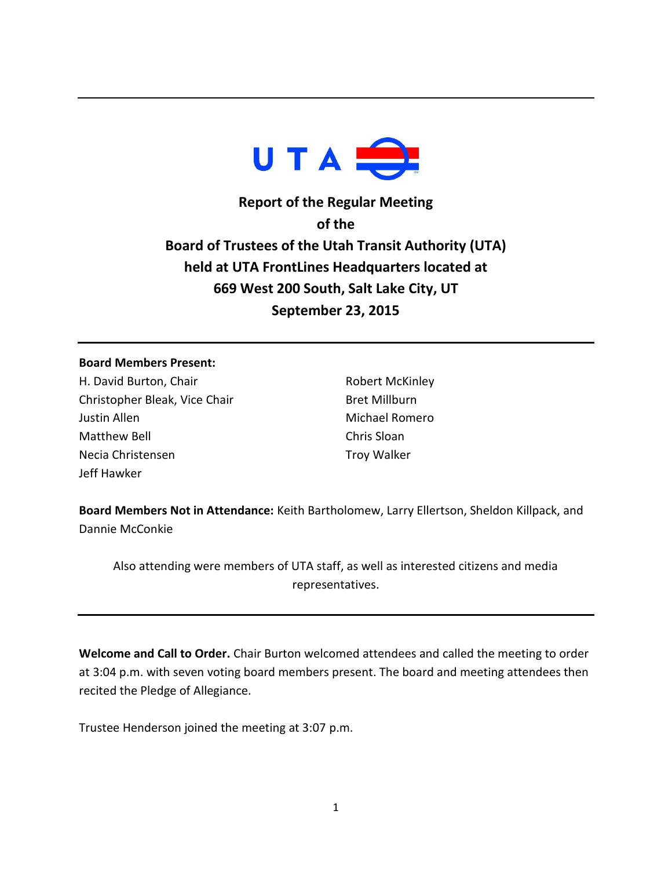

**Report of the Regular Meeting of the Board of Trustees of the Utah Transit Authority (UTA) held at UTA FrontLines Headquarters located at 669 West 200 South, Salt Lake City, UT September 23, 2015**

## **Board Members Present:**

H. David Burton, Chair Christopher Bleak, Vice Chair Justin Allen Matthew Bell Necia Christensen Jeff Hawker

Robert McKinley Bret Millburn Michael Romero Chris Sloan Troy Walker

**Board Members Not in Attendance:** Keith Bartholomew, Larry Ellertson, Sheldon Killpack, and Dannie McConkie

Also attending were members of UTA staff, as well as interested citizens and media representatives.

**Welcome and Call to Order.** Chair Burton welcomed attendees and called the meeting to order at 3:04 p.m. with seven voting board members present. The board and meeting attendees then recited the Pledge of Allegiance.

Trustee Henderson joined the meeting at 3:07 p.m.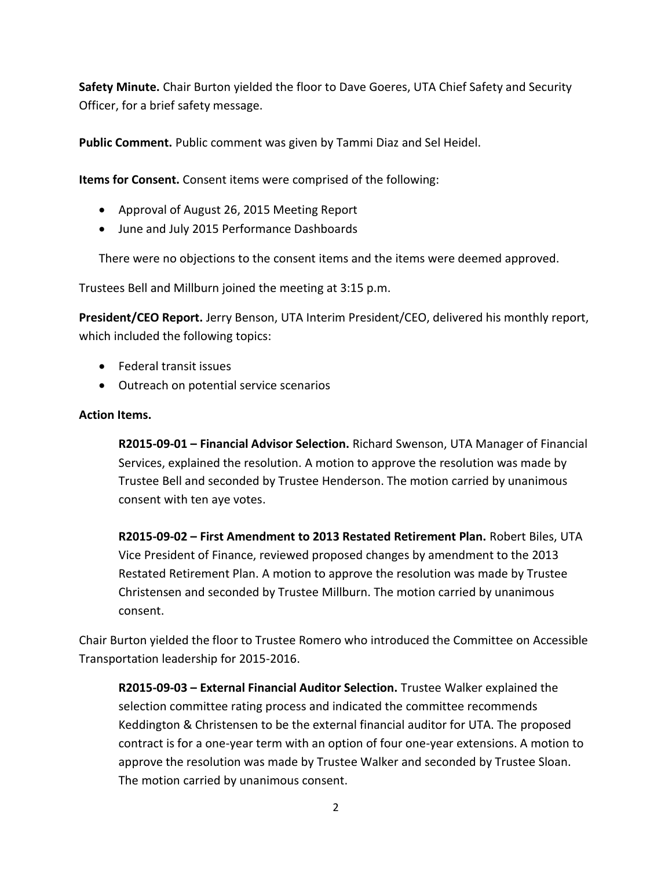**Safety Minute.** Chair Burton yielded the floor to Dave Goeres, UTA Chief Safety and Security Officer, for a brief safety message.

**Public Comment.** Public comment was given by Tammi Diaz and Sel Heidel.

**Items for Consent.** Consent items were comprised of the following:

- Approval of August 26, 2015 Meeting Report
- June and July 2015 Performance Dashboards

There were no objections to the consent items and the items were deemed approved.

Trustees Bell and Millburn joined the meeting at 3:15 p.m.

**President/CEO Report.** Jerry Benson, UTA Interim President/CEO, delivered his monthly report, which included the following topics:

- Federal transit issues
- Outreach on potential service scenarios

## **Action Items.**

**R2015-09-01 – Financial Advisor Selection.** Richard Swenson, UTA Manager of Financial Services, explained the resolution. A motion to approve the resolution was made by Trustee Bell and seconded by Trustee Henderson. The motion carried by unanimous consent with ten aye votes.

**R2015-09-02 – First Amendment to 2013 Restated Retirement Plan.** Robert Biles, UTA Vice President of Finance, reviewed proposed changes by amendment to the 2013 Restated Retirement Plan. A motion to approve the resolution was made by Trustee Christensen and seconded by Trustee Millburn. The motion carried by unanimous consent.

Chair Burton yielded the floor to Trustee Romero who introduced the Committee on Accessible Transportation leadership for 2015-2016.

**R2015-09-03 – External Financial Auditor Selection.** Trustee Walker explained the selection committee rating process and indicated the committee recommends Keddington & Christensen to be the external financial auditor for UTA. The proposed contract is for a one-year term with an option of four one-year extensions. A motion to approve the resolution was made by Trustee Walker and seconded by Trustee Sloan. The motion carried by unanimous consent.